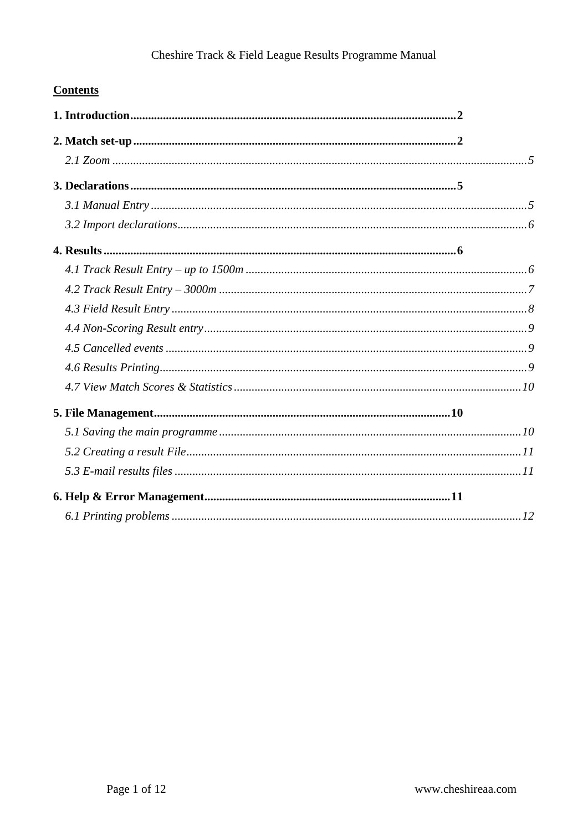### **Contents**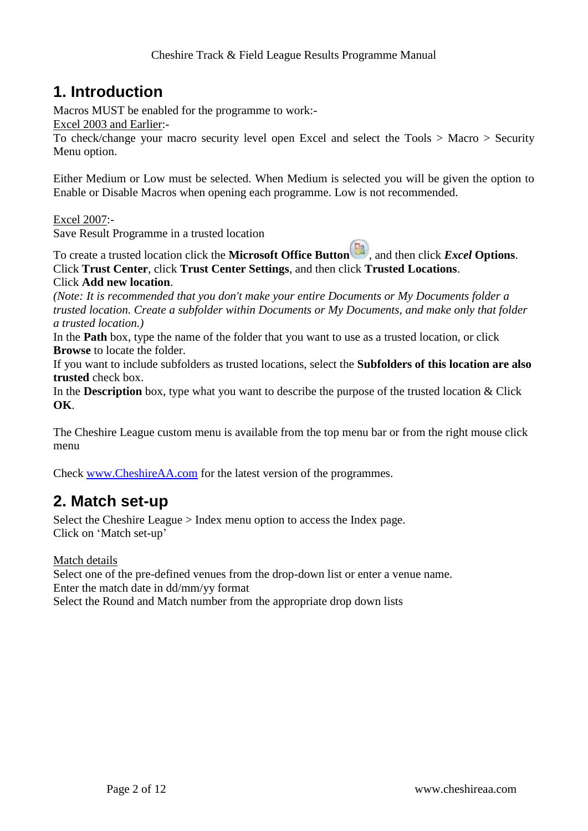# <span id="page-1-0"></span>**1. Introduction**

Macros MUST be enabled for the programme to work:-

Excel 2003 and Earlier:-

To check/change your macro security level open Excel and select the Tools > Macro > Security Menu option.

Either Medium or Low must be selected. When Medium is selected you will be given the option to Enable or Disable Macros when opening each programme. Low is not recommended.

Excel 2007:-

Save Result Programme in a trusted location

To create a trusted location click the **Microsoft Office Button** , and then click *Excel* **Options**. Click **Trust Center**, click **Trust Center Settings**, and then click **Trusted Locations**. Click **Add new location**.

*(Note: It is recommended that you don't make your entire Documents or My Documents folder a trusted location. Create a subfolder within Documents or My Documents, and make only that folder a trusted location.)*

In the **Path** box, type the name of the folder that you want to use as a trusted location, or click **Browse** to locate the folder.

If you want to include subfolders as trusted locations, select the **Subfolders of this location are also trusted** check box.

In the **Description** box, type what you want to describe the purpose of the trusted location & Click **OK**.

The Cheshire League custom menu is available from the top menu bar or from the right mouse click menu

Check [www.CheshireAA.com](http://cheshireaa.com/results/Result_programme/cheshire_t&f_league_results_programme.htm) for the latest version of the programmes.

# <span id="page-1-1"></span>**2. Match set-up**

Select the Cheshire League > Index menu option to access the Index page. Click on 'Match set-up'

Match details

Select one of the pre-defined venues from the drop-down list or enter a venue name. Enter the match date in dd/mm/yy format Select the Round and Match number from the appropriate drop down lists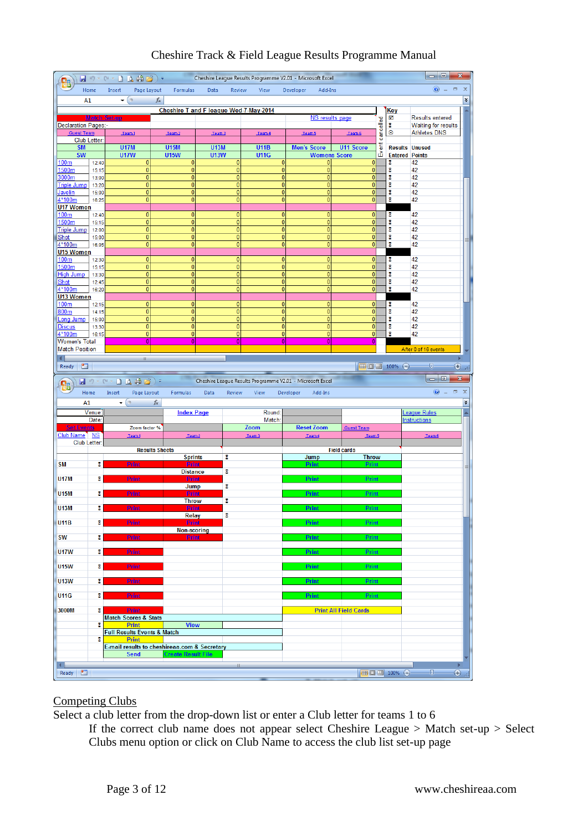| <b>Q</b>                                 |                |                                                             |                                  |                                        |                                                           |                                  |                                  |                             |                     | ا ماره،                                           | $\mathbf{x}$                       |
|------------------------------------------|----------------|-------------------------------------------------------------|----------------------------------|----------------------------------------|-----------------------------------------------------------|----------------------------------|----------------------------------|-----------------------------|---------------------|---------------------------------------------------|------------------------------------|
|                                          | Home           | Page Layout<br>Insert                                       | Formulas                         | Data                                   | Review<br>View                                            | Developer                        | Add-Ins                          |                             |                     | $\circledcirc$                                    | x                                  |
| A1                                       |                | $\circ$<br>۰                                                | fx                               |                                        |                                                           |                                  |                                  |                             |                     |                                                   | ¥                                  |
|                                          |                | <b>Match Set-up</b>                                         |                                  | Cheshire T and F league Wed-7-May-2014 |                                                           |                                  | <b>NS results page</b>           |                             | <u>Key</u><br>☑     | <b>Results entered</b>                            |                                    |
| Declaration Pages:-<br><b>Guest Team</b> |                |                                                             |                                  |                                        |                                                           |                                  |                                  |                             | cancelled<br>8<br>⊛ | <b>Waiting for results</b><br><b>Athletes DNS</b> |                                    |
|                                          | Club Letter:   | Team1                                                       | Team 2                           | Team 3                                 | Team 4                                                    | Team 5                           |                                  | Team 6                      |                     |                                                   |                                    |
| <b>SM</b><br><b>SW</b>                   |                | <b>U17M</b><br><b>U17W</b>                                  | <b>U15M</b><br><b>U15W</b>       | <b>U13M</b><br><b>U13W</b>             | <b>U11B</b><br><b>U11G</b>                                | <b>Men's Score</b>               | U11 Score<br><b>Womens Score</b> |                             | Event               | <b>Results Unused</b><br><b>Entered Points</b>    |                                    |
| <u>100m</u>                              | 12:40          | $\overline{0}$                                              | $\overline{0}$                   |                                        | $\overline{0}$                                            | 0                                | 0                                | 0                           | 8                   | 42                                                |                                    |
| 1500m<br>3000m                           | 15:15<br>13:00 | $\overline{0}$<br>0                                         | $\overline{0}$<br>$\overline{0}$ |                                        | $\overline{0}$<br>$\overline{0}$                          | $\overline{0}$<br>$\overline{0}$ | $\overline{0}$<br>$\overline{0}$ | $\pmb{0}$<br>$\mathbf{0}$   | 8<br>z              | 42<br>42                                          |                                    |
| <b>Triple Jump</b>                       | 13:20          | $\mathbf{0}$                                                | $\overline{0}$                   |                                        | $\overline{0}$                                            | 0                                | $\pmb{0}$                        | $\bf{0}$                    | 8                   | 42                                                |                                    |
| <b>Javelin</b><br>4*100m                 | 15:00<br>16:25 | $\overline{0}$<br>$\overline{0}$                            | $\overline{0}$<br>$\overline{0}$ |                                        | $\overline{0}$<br>$\overline{0}$                          | 0<br>$\overline{0}$              | $\bf{0}$<br>$\mathbf{0}$         | $\bf{0}$<br>$\mathbf{0}$    | 8<br>8              | 42<br>42                                          |                                    |
| <b>U17 Women</b><br>100 <sub>m</sub>     |                | $\mathbf{0}$                                                | $\overline{0}$                   |                                        | $\overline{0}$                                            | 0                                | $\mathbf{0}$                     | $\mathbf{0}$                |                     | 42                                                |                                    |
| 1500m                                    | 12:40<br>15:15 | $\overline{0}$                                              | $\overline{0}$                   |                                        | $\overline{0}$                                            | $\overline{0}$                   | $\pmb{0}$                        | $\mathbf{0}$                | 8<br>8              | 42                                                |                                    |
| <b>Triple Jump</b><br>Shot               | 12:00<br>15:00 | $\overline{0}$<br>$\overline{0}$                            | $\overline{0}$<br>$\overline{0}$ |                                        | $\overline{0}$<br>$\overline{0}$                          | $\overline{0}$<br>$\overline{0}$ | $\overline{0}$<br>$\mathbf{0}$   | $\pmb{0}$<br>$\mathbf{0}$   | 8<br>8              | 42<br>42                                          |                                    |
| 4*100m                                   | 16:05          | $\mathbf{0}$                                                | $\overline{0}$                   |                                        | $\overline{0}$                                            | $\overline{0}$                   | $\mathbf{0}$                     | 0                           | Σ                   | 42                                                |                                    |
| U15 Women<br>100m                        | 12:30          | 0                                                           | $\overline{0}$                   |                                        | $\overline{0}$                                            | 0                                | 0                                | 0                           | 8                   | 42                                                |                                    |
| 1500m                                    | 15:15          | $\overline{0}$<br>$\bf{0}$                                  | $\overline{0}$<br>$\overline{0}$ |                                        | $\overline{0}$<br>$\overline{0}$                          | 0<br>0                           | 0<br>$\pmb{0}$                   | $\bf{0}$<br>$\mathbf{0}$    | 8<br>8              | 42                                                |                                    |
| High Jump<br>Shot                        | 13:30<br>12:45 | $\overline{0}$                                              | $\overline{0}$                   |                                        | $\overline{0}$                                            | 0                                | $\pmb{0}$                        | $\mathbf{0}$                | 8                   | 42<br>42                                          |                                    |
| 4*100m<br>U13 Women                      | 16:20          | $\overline{0}$                                              | $\overline{0}$                   |                                        | $\overline{0}$                                            | 0                                | $\mathbf{0}$                     | $\mathbf{0}$                | 8                   | 42                                                |                                    |
| 100 <sub>m</sub>                         | 12:15          | 0                                                           | 0                                |                                        | 0                                                         | 0                                | 0                                | 0                           | 8                   | 42                                                |                                    |
| 800 <sub>m</sub><br>Long Jump            | 14:15<br>15:00 | $\overline{0}$<br>$\overline{0}$                            | $\overline{0}$<br>$\overline{0}$ |                                        | $\overline{0}$<br>$\overline{0}$                          | 0<br>$\mathbf{0}$                | $\mathbf{0}$<br>$\overline{0}$   | $\bf{0}$<br>$\mathbf{0}$    | 8<br>8              | 42<br>42                                          |                                    |
| <b>Discus</b>                            | 13:30          | 0                                                           | $\overline{0}$                   |                                        | $\overline{0}$                                            | $\mathbf{0}$                     | $\mathbf{0}$                     | $\mathbf{0}$                | 8                   | 42                                                |                                    |
| 4*100m<br>Women's Total                  | 16:15          | 0<br>$\overline{0}$                                         | $\overline{0}$<br>$\overline{0}$ |                                        | $\overline{0}$<br>$\overline{0}$                          | 0<br>$\overline{0}$              | 0<br>$\overline{0}$              | $\pmb{0}$<br>$\bf{0}$       | 8                   | 42                                                |                                    |
| <b>Match Position</b>                    |                |                                                             |                                  |                                        |                                                           |                                  |                                  |                             |                     | After 0 of 16 events                              |                                    |
| ◖<br>面<br>Ready                          |                | ШI                                                          |                                  |                                        |                                                           |                                  |                                  |                             | Ⅲ Ⅲ 100% →          | v                                                 | $^{\circledast}$                   |
|                                          |                |                                                             |                                  |                                        |                                                           |                                  |                                  |                             |                     |                                                   |                                    |
|                                          |                |                                                             |                                  |                                        |                                                           |                                  |                                  |                             |                     |                                                   | x                                  |
| Ġ,                                       | 冒切り            | $C1 -$                                                      | $\Box \Delta \Theta \Theta$      |                                        | Cheshire League Results Programme V2.01 - Microsoft Excel |                                  |                                  |                             |                     | $\Box$ e                                          |                                    |
| A1                                       | Home           | Insert<br>Page Layout<br>$ (2)$                             | Formulas                         | Data<br>Review                         | View                                                      | Developer                        | Add-Ins                          |                             |                     | $\bullet$ $-$                                     | $\Box$<br>$\boldsymbol{\chi}$<br>¥ |
|                                          | Venue:         |                                                             | fx<br><b>Index Page</b>          |                                        | Round:                                                    |                                  |                                  |                             |                     | League Rules                                      |                                    |
|                                          | Date:          |                                                             |                                  |                                        | Match:                                                    |                                  |                                  |                             |                     | <b>Instructions</b>                               |                                    |
| <b>Set Events</b><br>Club Name NS        |                | Zoom factor %<br>Team1                                      | Team2                            |                                        | Zoom<br>Team3                                             | <b>Reset Zoom</b><br>Team 4      |                                  | <b>Guest Team</b><br>Team 5 |                     | Team 6                                            |                                    |
| Club Letter:                             |                |                                                             | <b>Results Sheets</b>            |                                        |                                                           |                                  | <b>Field cards</b>               |                             |                     |                                                   |                                    |
|                                          |                |                                                             | <b>Sprints</b>                   | 8                                      |                                                           | Jump                             |                                  | <b>Throw</b>                |                     |                                                   |                                    |
| <b>SM</b>                                | 8              | <b>Print</b>                                                | <b>Print</b><br><b>Distance</b>  | 8                                      |                                                           | <b>Print</b>                     |                                  | Print                       |                     |                                                   |                                    |
| <b>U17M</b>                              | 8              | <b>Print</b>                                                | <b>Print</b><br>Jump             | 8                                      |                                                           | <b>Print</b>                     |                                  | Print                       |                     |                                                   |                                    |
| <b>U15M</b>                              | 8              | <b>Print</b>                                                | Print                            |                                        |                                                           | Print                            |                                  | Print                       |                     |                                                   |                                    |
| <b>U13M</b>                              | 8              | <b>Print</b>                                                | <b>Throw</b><br><b>Print</b>     | z                                      |                                                           | <b>Print</b>                     |                                  | <b>Print</b>                |                     |                                                   |                                    |
| <b>U11B</b>                              | 8              | <b>Print</b>                                                | <b>Relay</b><br>Print            | 8                                      |                                                           | <b>Print</b>                     |                                  | Print                       |                     |                                                   |                                    |
|                                          |                |                                                             | Non-scoring                      |                                        |                                                           |                                  |                                  |                             |                     |                                                   |                                    |
| <b>SW</b>                                | 8              | <b>Print</b>                                                | <b>Print</b>                     |                                        |                                                           | Print                            |                                  | Print                       |                     |                                                   |                                    |
| <b>U17W</b>                              | 8              | Print                                                       |                                  |                                        |                                                           | Print                            |                                  | <b>Print</b>                |                     |                                                   |                                    |
| <b>U15W</b>                              | 8              | Print                                                       |                                  |                                        |                                                           | Print                            |                                  | Print                       |                     |                                                   |                                    |
| <b>U13W</b>                              | 8              | <b>Print</b>                                                |                                  |                                        |                                                           | <b>Print</b>                     |                                  | <b>Print</b>                |                     |                                                   |                                    |
|                                          |                |                                                             |                                  |                                        |                                                           |                                  |                                  |                             |                     |                                                   |                                    |
| <b>U11G</b>                              | 8              | <b>Print</b>                                                |                                  |                                        |                                                           | Print                            |                                  | Print                       |                     |                                                   |                                    |
| 3000M                                    | 8              | <b>Print</b><br><b>Match Scores &amp; Stats</b>             |                                  |                                        |                                                           |                                  | <b>Print All Field Cards</b>     |                             |                     |                                                   |                                    |
|                                          | Σ              | <b>Print</b>                                                | <b>View</b>                      |                                        |                                                           |                                  |                                  |                             |                     |                                                   |                                    |
|                                          | 8              | <b>Full Results Events &amp; Match</b><br><b>Print</b>      |                                  |                                        |                                                           |                                  |                                  |                             |                     |                                                   |                                    |
|                                          |                | E-mail results to cheshireaa.com & Secretary<br><b>Send</b> | <b>Create Result File</b>        |                                        |                                                           |                                  |                                  |                             |                     |                                                   |                                    |
| 4  <br>$\blacksquare$                    |                |                                                             |                                  |                                        |                                                           |                                  |                                  |                             | ■ □ 凹 100% →        | $\overline{\mathbb{Q}}$                           | $\overline{\bigoplus}$             |

#### Competing Clubs

Select a club letter from the drop-down list or enter a Club letter for teams 1 to 6

If the correct club name does not appear select Cheshire League > Match set-up > Select Clubs menu option or click on Club Name to access the club list set-up page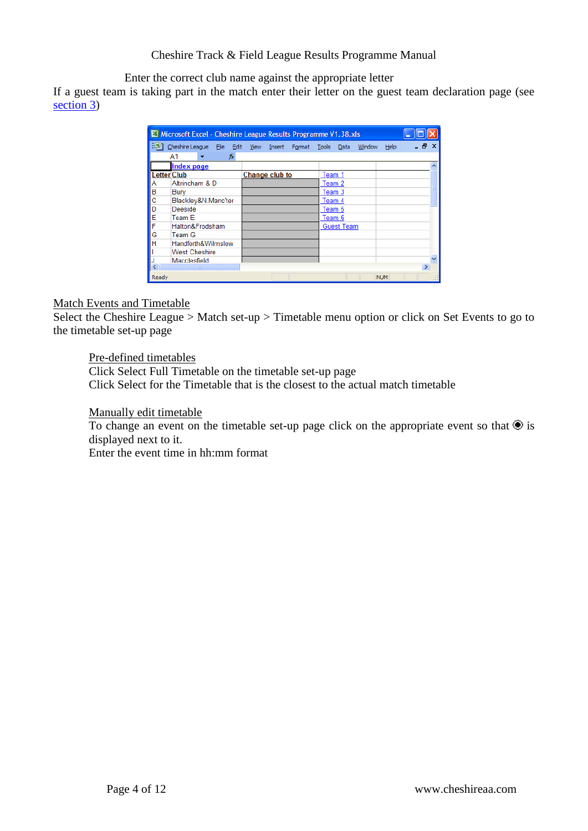Enter the correct club name against the appropriate letter

If a guest team is taking part in the match enter their letter on the guest team declaration page (see [section 3\)](#page-5-3)

|       | Microsoft Excel - Cheshire League Results Programme V1.38.xls |                       |  |        |                   |        |            |               |  |
|-------|---------------------------------------------------------------|-----------------------|--|--------|-------------------|--------|------------|---------------|--|
| 旧町    | Cheshire League File Edit View Insert Format Tools            |                       |  |        | Data              | Window | Help       | - 8 x         |  |
|       | A1<br>fx.                                                     |                       |  |        |                   |        |            |               |  |
|       | <b>Index page</b>                                             |                       |  |        |                   |        |            |               |  |
|       | <b>Letter Club</b>                                            | <b>Change club to</b> |  | Team 1 |                   |        |            |               |  |
| Α     | Altrincham & D                                                |                       |  | Team 2 |                   |        |            |               |  |
| IВ    | Bury                                                          |                       |  | Team 3 |                   |        |            |               |  |
| с     | Blackley&N.Manc'ter                                           |                       |  | Team 4 |                   |        |            |               |  |
| ID    | Deeside                                                       |                       |  | Team 5 |                   |        |            |               |  |
| E     | Team E                                                        |                       |  | Team 6 |                   |        |            |               |  |
| F     | Halton&Frodsham                                               |                       |  |        | <b>Guest Team</b> |        |            |               |  |
| G     | Team G                                                        |                       |  |        |                   |        |            |               |  |
| lн    | Handforth&Wilmslow                                            |                       |  |        |                   |        |            |               |  |
|       | <b>West Cheshire</b>                                          |                       |  |        |                   |        |            |               |  |
|       | Macclesfield                                                  |                       |  |        |                   |        |            |               |  |
|       | TITL                                                          |                       |  |        |                   |        |            | $\rightarrow$ |  |
| Ready |                                                               |                       |  |        |                   |        | <b>NUM</b> |               |  |

#### Match Events and Timetable

Select the Cheshire League > Match set-up > Timetable menu option or click on Set Events to go to the timetable set-up page

Pre-defined timetables

Click Select Full Timetable on the timetable set-up page Click Select for the Timetable that is the closest to the actual match timetable

Manually edit timetable

To change an event on the timetable set-up page click on the appropriate event so that  $\bullet$  is displayed next to it.

Enter the event time in hh:mm format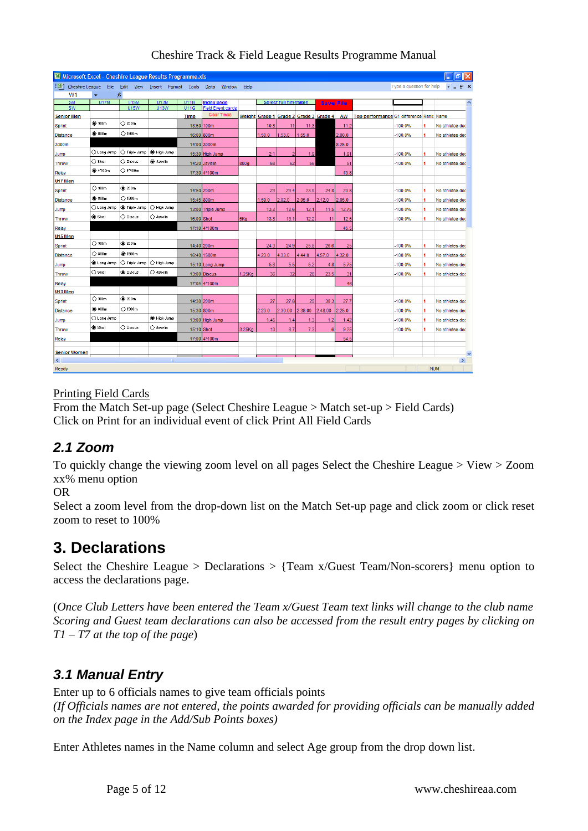| :픽1<br>Cheshire League File Edit View Insert Format Tools<br>Type a question for help<br>Data<br>Window<br>Help<br>$\bullet$<br>W <sub>1</sub><br>fx.<br>$\overline{\phantom{a}}$<br><b>SM</b><br><b>U15M</b><br><b>U13M</b><br><b>U11B</b><br><b>U17M</b><br><b>Index page</b><br>Select full timetable<br><b>Save File</b><br><b>U15W</b><br><b>U11G</b><br><b>Field Event cards</b><br><b>SW</b><br><b>U13W</b><br><b>Clear Times</b><br>Weight Grade 1 Grade 2 Grade 3 Grade 4<br>AW<br>Top performance G1 difference Rank Name<br><b>Senior Men</b><br>Time<br>$@$ 100m<br>$\bigcirc$ 200m<br>13:50 100m<br>10.8<br>11<br>11.3<br>$-100.0%$<br>Sprint<br>11.2<br>No athletes dec<br>1<br><b>C</b> 800m<br>$\bigcirc$ 1500m<br>2.00.0<br>16:00 800m<br>1.53.0<br>1.55.0<br>$-100.0%$<br>Distance<br>1.50.0<br>1<br>No athletes dec<br>8.25.0<br>3000m<br>14:00 3000m<br>High Jump<br>O Long Jump<br>○ Triple Jump<br>15:30 High Jump<br>2.1<br>$-100.0%$<br>Jumo<br>$\overline{2}$<br>1.9<br>1.91<br>1<br>No athletes dec<br>$\bigcirc$ Shot<br>○ Discus<br><b>O</b> Javelin<br>800a<br>68<br>62<br>56<br>14:20 Javelin<br>51<br>$-100.0%$<br>Throw<br>No athletes dec<br>1<br>$\bigcirc$ 4'400m<br><b>C</b> 4'100m<br>Relay<br>17:30 4*100m<br>43.8<br>U17 Men<br>$\bigcirc$ 100m<br><b>@</b> 200m<br>14:50 200m<br>23<br>23.4<br>23.9<br>24.8<br>23.8<br>$-100.0%$<br>1<br>Sprint<br>No athletes dec<br><b>C</b> 800m<br>$\bigcirc$ 1500m<br>15:45 800m<br>1.59.0<br>2.02.0<br>2.05.0<br>2.12.0<br>2.05.0<br>$-100.0%$<br>Distance<br>1<br>No athletes dec<br>C High Jump<br>$\bigcirc$ Long Jump<br><b>Co</b> Triple Jump<br>13.2<br>12.6<br>$-100.0%$<br>13:00 Triple Jump<br>12.1<br>11.5<br>12.75<br>1<br>No athletes dec<br>Jump<br>Shot<br>O Discus<br>$\bigcirc$ Javelin<br>$16:00$ Shot<br>5Ka<br>13.8<br>13.1<br>12.5<br>$-100.0%$<br>12.2<br>11<br>1<br>No athletes dec<br>Throw<br>45.5<br>Relay<br>17:10 4*100m<br>U <sub>15</sub> Men<br>$\bigcirc$ 100m<br><b>3</b> 200m<br>Sprint<br>14:40 200m<br>24.3<br>24.9<br>25.8<br>26.6<br>$-100.0%$<br>25<br>1<br>No athletes dec<br>$\bigcirc$ 800m<br><b>C</b> 1500m<br>4.23.0<br>16:40 1500m<br>4.33.0<br>4.44.0<br>4.57.0<br>4.32.0<br>Distance<br>$-100.0%$<br>No athletes dec<br>1<br>C Long Jump<br>○ High Jump<br>◯ Triple Jump<br>15:10 Long Jump<br>5.8<br>5.5<br>5.2<br>$-100.0%$<br>Jump<br>4.8<br>5.75<br>1<br>No athletes dec<br>$\bigcirc$ Shot<br><b>O</b> Discus<br>O Javelin<br>13:00 Discus<br>1.25Kq<br>36<br>32<br>28<br>23.5<br>31<br>$-100.0%$<br>No athletes dec<br>Throw<br>1<br>17:05 4*100m<br>48<br>Relay<br>U13 Men<br>$\bigcirc$ 100m<br><b>@</b> 200m<br>27<br>$-100.0%$<br>14:30 200m<br>27.8<br>29<br>30.3<br>27.7<br>1<br>No athletes dec<br>Sprint<br><b>C</b> 800m<br>$\bigcirc$ 1500m<br>15:30 800m<br>2.23.0<br>2.30.00<br>2.38.00<br>2.48.00<br>2.25.0<br>$-100.0%$<br><b>Distance</b><br>No athletes dec<br>1<br>C Long Jump<br>C High Jump<br>$-100.0%$<br>Jump<br>13:00 High Jump<br>1.45<br>1.4<br>1.3<br>1.2<br>1.42<br>1<br>No athletes dec<br>Shot<br>O Discus<br>$\bigcirc$ Javelin<br>8.7<br>15:10 Shot<br>3.25Kg<br>10<br>7.3<br>9.25<br><b>Throw</b><br>6<br>$-100.0%$<br>No athletes dec<br>4<br>17:00 4*100m<br>54.5<br>Relay<br><b>Senior Women</b><br>$\rightarrow$<br>$\overline{\mathbf{K}}$ | S Microsoft Excel - Cheshire League Results Programme.xls |  |  |  |  |  |  |  | F                   |
|--------------------------------------------------------------------------------------------------------------------------------------------------------------------------------------------------------------------------------------------------------------------------------------------------------------------------------------------------------------------------------------------------------------------------------------------------------------------------------------------------------------------------------------------------------------------------------------------------------------------------------------------------------------------------------------------------------------------------------------------------------------------------------------------------------------------------------------------------------------------------------------------------------------------------------------------------------------------------------------------------------------------------------------------------------------------------------------------------------------------------------------------------------------------------------------------------------------------------------------------------------------------------------------------------------------------------------------------------------------------------------------------------------------------------------------------------------------------------------------------------------------------------------------------------------------------------------------------------------------------------------------------------------------------------------------------------------------------------------------------------------------------------------------------------------------------------------------------------------------------------------------------------------------------------------------------------------------------------------------------------------------------------------------------------------------------------------------------------------------------------------------------------------------------------------------------------------------------------------------------------------------------------------------------------------------------------------------------------------------------------------------------------------------------------------------------------------------------------------------------------------------------------------------------------------------------------------------------------------------------------------------------------------------------------------------------------------------------------------------------------------------------------------------------------------------------------------------------------------------------------------------------------------------------------------------------------------------------------------------------------------------------------------------------------------------------------------------------------------------------------------------------------------------------------------------------------------------------------------------------------------------------------------------------------------------------|-----------------------------------------------------------|--|--|--|--|--|--|--|---------------------|
|                                                                                                                                                                                                                                                                                                                                                                                                                                                                                                                                                                                                                                                                                                                                                                                                                                                                                                                                                                                                                                                                                                                                                                                                                                                                                                                                                                                                                                                                                                                                                                                                                                                                                                                                                                                                                                                                                                                                                                                                                                                                                                                                                                                                                                                                                                                                                                                                                                                                                                                                                                                                                                                                                                                                                                                                                                                                                                                                                                                                                                                                                                                                                                                                                                                                                                                    |                                                           |  |  |  |  |  |  |  | <b>B</b> X          |
|                                                                                                                                                                                                                                                                                                                                                                                                                                                                                                                                                                                                                                                                                                                                                                                                                                                                                                                                                                                                                                                                                                                                                                                                                                                                                                                                                                                                                                                                                                                                                                                                                                                                                                                                                                                                                                                                                                                                                                                                                                                                                                                                                                                                                                                                                                                                                                                                                                                                                                                                                                                                                                                                                                                                                                                                                                                                                                                                                                                                                                                                                                                                                                                                                                                                                                                    |                                                           |  |  |  |  |  |  |  |                     |
|                                                                                                                                                                                                                                                                                                                                                                                                                                                                                                                                                                                                                                                                                                                                                                                                                                                                                                                                                                                                                                                                                                                                                                                                                                                                                                                                                                                                                                                                                                                                                                                                                                                                                                                                                                                                                                                                                                                                                                                                                                                                                                                                                                                                                                                                                                                                                                                                                                                                                                                                                                                                                                                                                                                                                                                                                                                                                                                                                                                                                                                                                                                                                                                                                                                                                                                    |                                                           |  |  |  |  |  |  |  | $\hat{\phantom{a}}$ |
|                                                                                                                                                                                                                                                                                                                                                                                                                                                                                                                                                                                                                                                                                                                                                                                                                                                                                                                                                                                                                                                                                                                                                                                                                                                                                                                                                                                                                                                                                                                                                                                                                                                                                                                                                                                                                                                                                                                                                                                                                                                                                                                                                                                                                                                                                                                                                                                                                                                                                                                                                                                                                                                                                                                                                                                                                                                                                                                                                                                                                                                                                                                                                                                                                                                                                                                    |                                                           |  |  |  |  |  |  |  |                     |
|                                                                                                                                                                                                                                                                                                                                                                                                                                                                                                                                                                                                                                                                                                                                                                                                                                                                                                                                                                                                                                                                                                                                                                                                                                                                                                                                                                                                                                                                                                                                                                                                                                                                                                                                                                                                                                                                                                                                                                                                                                                                                                                                                                                                                                                                                                                                                                                                                                                                                                                                                                                                                                                                                                                                                                                                                                                                                                                                                                                                                                                                                                                                                                                                                                                                                                                    |                                                           |  |  |  |  |  |  |  |                     |
|                                                                                                                                                                                                                                                                                                                                                                                                                                                                                                                                                                                                                                                                                                                                                                                                                                                                                                                                                                                                                                                                                                                                                                                                                                                                                                                                                                                                                                                                                                                                                                                                                                                                                                                                                                                                                                                                                                                                                                                                                                                                                                                                                                                                                                                                                                                                                                                                                                                                                                                                                                                                                                                                                                                                                                                                                                                                                                                                                                                                                                                                                                                                                                                                                                                                                                                    |                                                           |  |  |  |  |  |  |  |                     |
|                                                                                                                                                                                                                                                                                                                                                                                                                                                                                                                                                                                                                                                                                                                                                                                                                                                                                                                                                                                                                                                                                                                                                                                                                                                                                                                                                                                                                                                                                                                                                                                                                                                                                                                                                                                                                                                                                                                                                                                                                                                                                                                                                                                                                                                                                                                                                                                                                                                                                                                                                                                                                                                                                                                                                                                                                                                                                                                                                                                                                                                                                                                                                                                                                                                                                                                    |                                                           |  |  |  |  |  |  |  |                     |
|                                                                                                                                                                                                                                                                                                                                                                                                                                                                                                                                                                                                                                                                                                                                                                                                                                                                                                                                                                                                                                                                                                                                                                                                                                                                                                                                                                                                                                                                                                                                                                                                                                                                                                                                                                                                                                                                                                                                                                                                                                                                                                                                                                                                                                                                                                                                                                                                                                                                                                                                                                                                                                                                                                                                                                                                                                                                                                                                                                                                                                                                                                                                                                                                                                                                                                                    |                                                           |  |  |  |  |  |  |  |                     |
|                                                                                                                                                                                                                                                                                                                                                                                                                                                                                                                                                                                                                                                                                                                                                                                                                                                                                                                                                                                                                                                                                                                                                                                                                                                                                                                                                                                                                                                                                                                                                                                                                                                                                                                                                                                                                                                                                                                                                                                                                                                                                                                                                                                                                                                                                                                                                                                                                                                                                                                                                                                                                                                                                                                                                                                                                                                                                                                                                                                                                                                                                                                                                                                                                                                                                                                    |                                                           |  |  |  |  |  |  |  |                     |
|                                                                                                                                                                                                                                                                                                                                                                                                                                                                                                                                                                                                                                                                                                                                                                                                                                                                                                                                                                                                                                                                                                                                                                                                                                                                                                                                                                                                                                                                                                                                                                                                                                                                                                                                                                                                                                                                                                                                                                                                                                                                                                                                                                                                                                                                                                                                                                                                                                                                                                                                                                                                                                                                                                                                                                                                                                                                                                                                                                                                                                                                                                                                                                                                                                                                                                                    |                                                           |  |  |  |  |  |  |  |                     |
|                                                                                                                                                                                                                                                                                                                                                                                                                                                                                                                                                                                                                                                                                                                                                                                                                                                                                                                                                                                                                                                                                                                                                                                                                                                                                                                                                                                                                                                                                                                                                                                                                                                                                                                                                                                                                                                                                                                                                                                                                                                                                                                                                                                                                                                                                                                                                                                                                                                                                                                                                                                                                                                                                                                                                                                                                                                                                                                                                                                                                                                                                                                                                                                                                                                                                                                    |                                                           |  |  |  |  |  |  |  |                     |
|                                                                                                                                                                                                                                                                                                                                                                                                                                                                                                                                                                                                                                                                                                                                                                                                                                                                                                                                                                                                                                                                                                                                                                                                                                                                                                                                                                                                                                                                                                                                                                                                                                                                                                                                                                                                                                                                                                                                                                                                                                                                                                                                                                                                                                                                                                                                                                                                                                                                                                                                                                                                                                                                                                                                                                                                                                                                                                                                                                                                                                                                                                                                                                                                                                                                                                                    |                                                           |  |  |  |  |  |  |  |                     |
|                                                                                                                                                                                                                                                                                                                                                                                                                                                                                                                                                                                                                                                                                                                                                                                                                                                                                                                                                                                                                                                                                                                                                                                                                                                                                                                                                                                                                                                                                                                                                                                                                                                                                                                                                                                                                                                                                                                                                                                                                                                                                                                                                                                                                                                                                                                                                                                                                                                                                                                                                                                                                                                                                                                                                                                                                                                                                                                                                                                                                                                                                                                                                                                                                                                                                                                    |                                                           |  |  |  |  |  |  |  |                     |
|                                                                                                                                                                                                                                                                                                                                                                                                                                                                                                                                                                                                                                                                                                                                                                                                                                                                                                                                                                                                                                                                                                                                                                                                                                                                                                                                                                                                                                                                                                                                                                                                                                                                                                                                                                                                                                                                                                                                                                                                                                                                                                                                                                                                                                                                                                                                                                                                                                                                                                                                                                                                                                                                                                                                                                                                                                                                                                                                                                                                                                                                                                                                                                                                                                                                                                                    |                                                           |  |  |  |  |  |  |  |                     |
|                                                                                                                                                                                                                                                                                                                                                                                                                                                                                                                                                                                                                                                                                                                                                                                                                                                                                                                                                                                                                                                                                                                                                                                                                                                                                                                                                                                                                                                                                                                                                                                                                                                                                                                                                                                                                                                                                                                                                                                                                                                                                                                                                                                                                                                                                                                                                                                                                                                                                                                                                                                                                                                                                                                                                                                                                                                                                                                                                                                                                                                                                                                                                                                                                                                                                                                    |                                                           |  |  |  |  |  |  |  |                     |
|                                                                                                                                                                                                                                                                                                                                                                                                                                                                                                                                                                                                                                                                                                                                                                                                                                                                                                                                                                                                                                                                                                                                                                                                                                                                                                                                                                                                                                                                                                                                                                                                                                                                                                                                                                                                                                                                                                                                                                                                                                                                                                                                                                                                                                                                                                                                                                                                                                                                                                                                                                                                                                                                                                                                                                                                                                                                                                                                                                                                                                                                                                                                                                                                                                                                                                                    |                                                           |  |  |  |  |  |  |  |                     |
|                                                                                                                                                                                                                                                                                                                                                                                                                                                                                                                                                                                                                                                                                                                                                                                                                                                                                                                                                                                                                                                                                                                                                                                                                                                                                                                                                                                                                                                                                                                                                                                                                                                                                                                                                                                                                                                                                                                                                                                                                                                                                                                                                                                                                                                                                                                                                                                                                                                                                                                                                                                                                                                                                                                                                                                                                                                                                                                                                                                                                                                                                                                                                                                                                                                                                                                    |                                                           |  |  |  |  |  |  |  |                     |
|                                                                                                                                                                                                                                                                                                                                                                                                                                                                                                                                                                                                                                                                                                                                                                                                                                                                                                                                                                                                                                                                                                                                                                                                                                                                                                                                                                                                                                                                                                                                                                                                                                                                                                                                                                                                                                                                                                                                                                                                                                                                                                                                                                                                                                                                                                                                                                                                                                                                                                                                                                                                                                                                                                                                                                                                                                                                                                                                                                                                                                                                                                                                                                                                                                                                                                                    |                                                           |  |  |  |  |  |  |  |                     |
|                                                                                                                                                                                                                                                                                                                                                                                                                                                                                                                                                                                                                                                                                                                                                                                                                                                                                                                                                                                                                                                                                                                                                                                                                                                                                                                                                                                                                                                                                                                                                                                                                                                                                                                                                                                                                                                                                                                                                                                                                                                                                                                                                                                                                                                                                                                                                                                                                                                                                                                                                                                                                                                                                                                                                                                                                                                                                                                                                                                                                                                                                                                                                                                                                                                                                                                    |                                                           |  |  |  |  |  |  |  |                     |
|                                                                                                                                                                                                                                                                                                                                                                                                                                                                                                                                                                                                                                                                                                                                                                                                                                                                                                                                                                                                                                                                                                                                                                                                                                                                                                                                                                                                                                                                                                                                                                                                                                                                                                                                                                                                                                                                                                                                                                                                                                                                                                                                                                                                                                                                                                                                                                                                                                                                                                                                                                                                                                                                                                                                                                                                                                                                                                                                                                                                                                                                                                                                                                                                                                                                                                                    |                                                           |  |  |  |  |  |  |  |                     |
|                                                                                                                                                                                                                                                                                                                                                                                                                                                                                                                                                                                                                                                                                                                                                                                                                                                                                                                                                                                                                                                                                                                                                                                                                                                                                                                                                                                                                                                                                                                                                                                                                                                                                                                                                                                                                                                                                                                                                                                                                                                                                                                                                                                                                                                                                                                                                                                                                                                                                                                                                                                                                                                                                                                                                                                                                                                                                                                                                                                                                                                                                                                                                                                                                                                                                                                    |                                                           |  |  |  |  |  |  |  |                     |
|                                                                                                                                                                                                                                                                                                                                                                                                                                                                                                                                                                                                                                                                                                                                                                                                                                                                                                                                                                                                                                                                                                                                                                                                                                                                                                                                                                                                                                                                                                                                                                                                                                                                                                                                                                                                                                                                                                                                                                                                                                                                                                                                                                                                                                                                                                                                                                                                                                                                                                                                                                                                                                                                                                                                                                                                                                                                                                                                                                                                                                                                                                                                                                                                                                                                                                                    |                                                           |  |  |  |  |  |  |  |                     |
|                                                                                                                                                                                                                                                                                                                                                                                                                                                                                                                                                                                                                                                                                                                                                                                                                                                                                                                                                                                                                                                                                                                                                                                                                                                                                                                                                                                                                                                                                                                                                                                                                                                                                                                                                                                                                                                                                                                                                                                                                                                                                                                                                                                                                                                                                                                                                                                                                                                                                                                                                                                                                                                                                                                                                                                                                                                                                                                                                                                                                                                                                                                                                                                                                                                                                                                    |                                                           |  |  |  |  |  |  |  |                     |
|                                                                                                                                                                                                                                                                                                                                                                                                                                                                                                                                                                                                                                                                                                                                                                                                                                                                                                                                                                                                                                                                                                                                                                                                                                                                                                                                                                                                                                                                                                                                                                                                                                                                                                                                                                                                                                                                                                                                                                                                                                                                                                                                                                                                                                                                                                                                                                                                                                                                                                                                                                                                                                                                                                                                                                                                                                                                                                                                                                                                                                                                                                                                                                                                                                                                                                                    |                                                           |  |  |  |  |  |  |  |                     |
|                                                                                                                                                                                                                                                                                                                                                                                                                                                                                                                                                                                                                                                                                                                                                                                                                                                                                                                                                                                                                                                                                                                                                                                                                                                                                                                                                                                                                                                                                                                                                                                                                                                                                                                                                                                                                                                                                                                                                                                                                                                                                                                                                                                                                                                                                                                                                                                                                                                                                                                                                                                                                                                                                                                                                                                                                                                                                                                                                                                                                                                                                                                                                                                                                                                                                                                    |                                                           |  |  |  |  |  |  |  |                     |
|                                                                                                                                                                                                                                                                                                                                                                                                                                                                                                                                                                                                                                                                                                                                                                                                                                                                                                                                                                                                                                                                                                                                                                                                                                                                                                                                                                                                                                                                                                                                                                                                                                                                                                                                                                                                                                                                                                                                                                                                                                                                                                                                                                                                                                                                                                                                                                                                                                                                                                                                                                                                                                                                                                                                                                                                                                                                                                                                                                                                                                                                                                                                                                                                                                                                                                                    |                                                           |  |  |  |  |  |  |  |                     |
|                                                                                                                                                                                                                                                                                                                                                                                                                                                                                                                                                                                                                                                                                                                                                                                                                                                                                                                                                                                                                                                                                                                                                                                                                                                                                                                                                                                                                                                                                                                                                                                                                                                                                                                                                                                                                                                                                                                                                                                                                                                                                                                                                                                                                                                                                                                                                                                                                                                                                                                                                                                                                                                                                                                                                                                                                                                                                                                                                                                                                                                                                                                                                                                                                                                                                                                    |                                                           |  |  |  |  |  |  |  |                     |
|                                                                                                                                                                                                                                                                                                                                                                                                                                                                                                                                                                                                                                                                                                                                                                                                                                                                                                                                                                                                                                                                                                                                                                                                                                                                                                                                                                                                                                                                                                                                                                                                                                                                                                                                                                                                                                                                                                                                                                                                                                                                                                                                                                                                                                                                                                                                                                                                                                                                                                                                                                                                                                                                                                                                                                                                                                                                                                                                                                                                                                                                                                                                                                                                                                                                                                                    |                                                           |  |  |  |  |  |  |  |                     |
|                                                                                                                                                                                                                                                                                                                                                                                                                                                                                                                                                                                                                                                                                                                                                                                                                                                                                                                                                                                                                                                                                                                                                                                                                                                                                                                                                                                                                                                                                                                                                                                                                                                                                                                                                                                                                                                                                                                                                                                                                                                                                                                                                                                                                                                                                                                                                                                                                                                                                                                                                                                                                                                                                                                                                                                                                                                                                                                                                                                                                                                                                                                                                                                                                                                                                                                    |                                                           |  |  |  |  |  |  |  |                     |
|                                                                                                                                                                                                                                                                                                                                                                                                                                                                                                                                                                                                                                                                                                                                                                                                                                                                                                                                                                                                                                                                                                                                                                                                                                                                                                                                                                                                                                                                                                                                                                                                                                                                                                                                                                                                                                                                                                                                                                                                                                                                                                                                                                                                                                                                                                                                                                                                                                                                                                                                                                                                                                                                                                                                                                                                                                                                                                                                                                                                                                                                                                                                                                                                                                                                                                                    |                                                           |  |  |  |  |  |  |  |                     |
|                                                                                                                                                                                                                                                                                                                                                                                                                                                                                                                                                                                                                                                                                                                                                                                                                                                                                                                                                                                                                                                                                                                                                                                                                                                                                                                                                                                                                                                                                                                                                                                                                                                                                                                                                                                                                                                                                                                                                                                                                                                                                                                                                                                                                                                                                                                                                                                                                                                                                                                                                                                                                                                                                                                                                                                                                                                                                                                                                                                                                                                                                                                                                                                                                                                                                                                    |                                                           |  |  |  |  |  |  |  |                     |
|                                                                                                                                                                                                                                                                                                                                                                                                                                                                                                                                                                                                                                                                                                                                                                                                                                                                                                                                                                                                                                                                                                                                                                                                                                                                                                                                                                                                                                                                                                                                                                                                                                                                                                                                                                                                                                                                                                                                                                                                                                                                                                                                                                                                                                                                                                                                                                                                                                                                                                                                                                                                                                                                                                                                                                                                                                                                                                                                                                                                                                                                                                                                                                                                                                                                                                                    |                                                           |  |  |  |  |  |  |  |                     |
|                                                                                                                                                                                                                                                                                                                                                                                                                                                                                                                                                                                                                                                                                                                                                                                                                                                                                                                                                                                                                                                                                                                                                                                                                                                                                                                                                                                                                                                                                                                                                                                                                                                                                                                                                                                                                                                                                                                                                                                                                                                                                                                                                                                                                                                                                                                                                                                                                                                                                                                                                                                                                                                                                                                                                                                                                                                                                                                                                                                                                                                                                                                                                                                                                                                                                                                    |                                                           |  |  |  |  |  |  |  |                     |
| <b>NUM</b>                                                                                                                                                                                                                                                                                                                                                                                                                                                                                                                                                                                                                                                                                                                                                                                                                                                                                                                                                                                                                                                                                                                                                                                                                                                                                                                                                                                                                                                                                                                                                                                                                                                                                                                                                                                                                                                                                                                                                                                                                                                                                                                                                                                                                                                                                                                                                                                                                                                                                                                                                                                                                                                                                                                                                                                                                                                                                                                                                                                                                                                                                                                                                                                                                                                                                                         | Ready                                                     |  |  |  |  |  |  |  |                     |

#### Printing Field Cards

From the Match Set-up page (Select Cheshire League > Match set-up > Field Cards) Click on Print for an individual event of click Print All Field Cards

# <span id="page-4-0"></span>*2.1 Zoom*

To quickly change the viewing zoom level on all pages Select the Cheshire League > View > Zoom xx% menu option

#### OR

Select a zoom level from the drop-down list on the Match Set-up page and click zoom or click reset zoom to reset to 100%

# <span id="page-4-1"></span>**3. Declarations**

Select the Cheshire League > Declarations > {Team x/Guest Team/Non-scorers} menu option to access the declarations page.

(*Once Club Letters have been entered the Team x/Guest Team text links will change to the club name Scoring and Guest team declarations can also be accessed from the result entry pages by clicking on T1 – T7 at the top of the page*)

# <span id="page-4-2"></span>*3.1 Manual Entry*

Enter up to 6 officials names to give team officials points *(If Officials names are not entered, the points awarded for providing officials can be manually added on the Index page in the Add/Sub Points boxes)*

Enter Athletes names in the Name column and select Age group from the drop down list.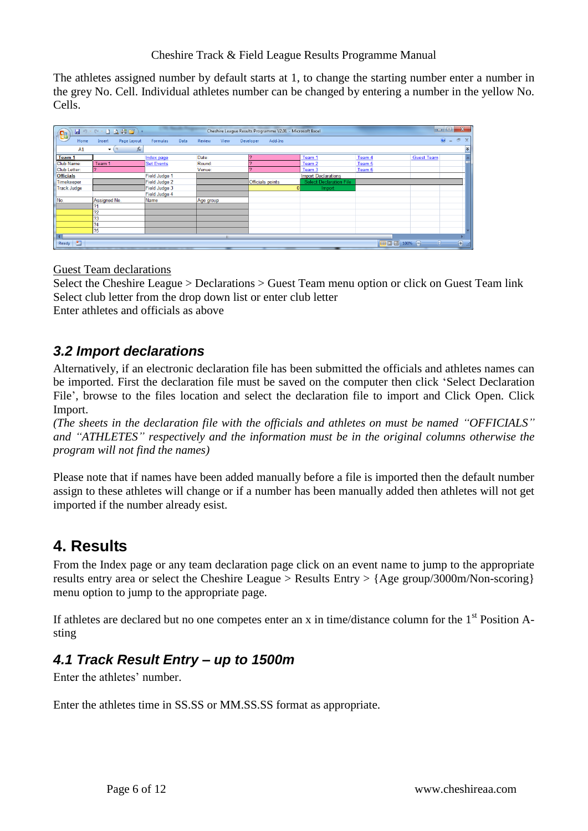The athletes assigned number by default starts at 1, to change the starting number enter a number in the grey No. Cell. Individual athletes number can be changed by entering a number in the yellow No. Cells.

| $\sqrt{\frac{\Omega_{\rm B}}{\Omega_{\rm B}}}$ | $-19 - 1140$          |                   |                | Cheshire League Results Programme V2.01 - Microsoft Excel |                                |              | $\begin{array}{c c c c} \hline \multicolumn{1}{c }{\textbf{0}} & \multicolumn{1}{c }{\textbf{0}} \\\hline \multicolumn{1}{c }{\textbf{0}} & \multicolumn{1}{c }{\textbf{0}} \end{array}$ |
|------------------------------------------------|-----------------------|-------------------|----------------|-----------------------------------------------------------|--------------------------------|--------------|------------------------------------------------------------------------------------------------------------------------------------------------------------------------------------------|
| Home                                           | Page Layout<br>Insert | Formulas<br>Data  | Review<br>View | Developer<br>Add-Ins                                      |                                |              | $\circledcirc$<br>$\Box$<br>$\sim$                                                                                                                                                       |
| A1                                             | $f_x$<br>۰.           |                   |                |                                                           |                                |              | ¥                                                                                                                                                                                        |
| Team <sub>1</sub>                              |                       | Index page        | Date:          | $\mathbf{\Omega}$                                         | Team 1                         | Team 4       | <b>Guest Team</b>                                                                                                                                                                        |
| Club Name:                                     | Team 1                | <b>Set Events</b> | Round:         |                                                           | Team 2                         | Team 5       |                                                                                                                                                                                          |
| Club Letter:                                   |                       |                   | Venue:         |                                                           | Team 3                         | Team 6       |                                                                                                                                                                                          |
| <b>Officials</b>                               |                       | Field Judge 1     |                |                                                           | <b>Import Declarations</b>     |              |                                                                                                                                                                                          |
| Timekeeper                                     |                       | Field Judge 2     |                | Officials points                                          | <b>Select Declaration File</b> |              |                                                                                                                                                                                          |
| <b>Track Judge</b>                             |                       | Field Judge 3     |                |                                                           | Import                         |              |                                                                                                                                                                                          |
|                                                |                       | Field Judge 4     |                |                                                           |                                |              |                                                                                                                                                                                          |
| No.                                            | Assigned No.          | Name              | Age group      |                                                           |                                |              |                                                                                                                                                                                          |
|                                                | 21                    |                   |                |                                                           |                                |              |                                                                                                                                                                                          |
|                                                | 72                    |                   |                |                                                           |                                |              |                                                                                                                                                                                          |
|                                                | 23                    |                   |                |                                                           |                                |              |                                                                                                                                                                                          |
|                                                | ?4                    |                   |                |                                                           |                                |              |                                                                                                                                                                                          |
|                                                | 75                    |                   |                |                                                           |                                |              |                                                                                                                                                                                          |
|                                                |                       |                   | <b>III</b>     |                                                           |                                |              |                                                                                                                                                                                          |
| $\mathbf{r}$<br>Ready                          |                       |                   |                |                                                           |                                | 田 回 凹 100% → | $\overline{\bigoplus}$<br>$\overline{0}$                                                                                                                                                 |

<span id="page-5-3"></span>Guest Team declarations

Select the Cheshire League > Declarations > Guest Team menu option or click on Guest Team link Select club letter from the drop down list or enter club letter Enter athletes and officials as above

## <span id="page-5-0"></span>*3.2 Import declarations*

Alternatively, if an electronic declaration file has been submitted the officials and athletes names can be imported. First the declaration file must be saved on the computer then click 'Select Declaration File', browse to the files location and select the declaration file to import and Click Open. Click Import.

*(The sheets in the declaration file with the officials and athletes on must be named "OFFICIALS" and "ATHLETES" respectively and the information must be in the original columns otherwise the program will not find the names)*

Please note that if names have been added manually before a file is imported then the default number assign to these athletes will change or if a number has been manually added then athletes will not get imported if the number already esist.

# <span id="page-5-1"></span>**4. Results**

From the Index page or any team declaration page click on an event name to jump to the appropriate results entry area or select the Cheshire League > Results Entry > {Age group/3000m/Non-scoring} menu option to jump to the appropriate page.

If athletes are declared but no one competes enter an x in time/distance column for the  $1<sup>st</sup>$  Position Asting

## <span id="page-5-2"></span>*4.1 Track Result Entry – up to 1500m*

Enter the athletes' number.

Enter the athletes time in SS.SS or MM.SS.SS format as appropriate.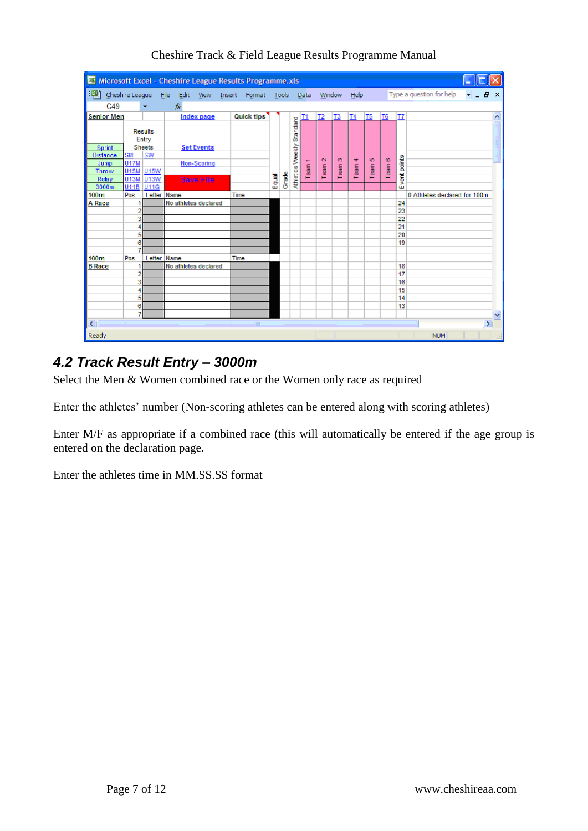| 图                       |                          |               | Microsoft Excel - Cheshire League Results Programme.xls |                   |      |                    |       |       |                  |      |              |                |             |                |                |             |                              |   |               |
|-------------------------|--------------------------|---------------|---------------------------------------------------------|-------------------|------|--------------------|-------|-------|------------------|------|--------------|----------------|-------------|----------------|----------------|-------------|------------------------------|---|---------------|
| ाखा                     | Cheshire League          |               | Eile Edit                                               |                   |      | View Insert Format |       | Tools |                  | Data |              |                | Window Help |                |                |             | Type a question for help     | Ð | $\times$      |
| C49                     |                          | ٠             | fx                                                      |                   |      |                    |       |       |                  |      |              |                |             |                |                |             |                              |   |               |
| <b>Senior Men</b>       |                          |               |                                                         | <b>Index page</b> |      | <b>Quick tips</b>  |       |       |                  |      | <b>T2</b>    | T <sub>3</sub> | <b>T4</b>   | T <sub>5</sub> | T <sub>6</sub> | T7          |                              |   | 木             |
|                         | Results                  | Entry         |                                                         |                   |      |                    |       |       | Standard         |      |              |                |             |                |                |             |                              |   |               |
| Sprint                  |                          | <b>Sheets</b> |                                                         | <b>Set Events</b> |      |                    |       |       |                  |      |              |                |             |                |                |             |                              |   |               |
| <b>Distance</b><br>Jump | <b>SM</b><br><b>U17M</b> | SW            |                                                         | Non-Scoring       |      |                    |       |       |                  | ᡵ    | $\mathbf{C}$ | O              | 4           | ю              | $\pmb{\omega}$ |             |                              |   |               |
| <b>Throw</b>            | U15M U15W                |               |                                                         |                   |      |                    |       |       |                  | Team | Team         | Team           | Team        | Team           | Team           |             |                              |   |               |
| Relay                   | U13M                     | <b>U13W</b>   |                                                         | <b>Save File</b>  |      |                    | Equal | Grade | Athletics Weekly |      |              |                |             |                |                | vent points |                              |   |               |
| 3000m                   | U11B                     | U11G          |                                                         |                   |      |                    |       |       |                  |      |              |                |             |                |                | ш           |                              |   |               |
| 100m                    | Pos.                     | Letter Name   |                                                         |                   | Time |                    |       |       |                  |      |              |                |             |                |                |             | 0 Athletes declared for 100m |   |               |
| A Race                  | 1                        |               | No athletes declared                                    |                   |      |                    |       |       |                  |      |              |                |             |                |                | 24<br>23    |                              |   |               |
|                         | 2<br>3                   |               |                                                         |                   |      |                    |       |       |                  |      |              |                |             |                |                | 22          |                              |   |               |
|                         | 4                        |               |                                                         |                   |      |                    |       |       |                  |      |              |                |             |                |                | 21          |                              |   |               |
|                         | 5                        |               |                                                         |                   |      |                    |       |       |                  |      |              |                |             |                |                | 20          |                              |   |               |
|                         | 6                        |               |                                                         |                   |      |                    |       |       |                  |      |              |                |             |                |                | 19          |                              |   |               |
|                         | 7                        |               |                                                         |                   |      |                    |       |       |                  |      |              |                |             |                |                |             |                              |   |               |
| 100m<br><b>B</b> Race   | Pos.<br>1                | Letter Name   | No athletes declared                                    |                   | Time |                    |       |       |                  |      |              |                |             |                |                | 18          |                              |   |               |
|                         | 2                        |               |                                                         |                   |      |                    |       |       |                  |      |              |                |             |                |                | 17          |                              |   |               |
|                         | 3                        |               |                                                         |                   |      |                    |       |       |                  |      |              |                |             |                |                | 16          |                              |   |               |
|                         | 4                        |               |                                                         |                   |      |                    |       |       |                  |      |              |                |             |                |                | 15          |                              |   |               |
|                         | 5                        |               |                                                         |                   |      |                    |       |       |                  |      |              |                |             |                |                | 14          |                              |   |               |
|                         | 6                        |               |                                                         |                   |      |                    |       |       |                  |      |              |                |             |                |                | 13          |                              |   |               |
|                         | 7                        |               |                                                         |                   |      |                    |       |       |                  |      |              |                |             |                |                |             |                              |   | v             |
| ∣∢∣                     |                          |               |                                                         |                   |      | <b>TOOL</b>        |       |       |                  |      |              |                |             |                |                |             |                              |   | $\rightarrow$ |
| Ready                   |                          |               |                                                         |                   |      |                    |       |       |                  |      |              |                |             |                |                |             | <b>NUM</b>                   |   | иł            |

Cheshire Track & Field League Results Programme Manual

# <span id="page-6-0"></span>*4.2 Track Result Entry – 3000m*

Select the Men & Women combined race or the Women only race as required

Enter the athletes' number (Non-scoring athletes can be entered along with scoring athletes)

Enter M/F as appropriate if a combined race (this will automatically be entered if the age group is entered on the declaration page.

Enter the athletes time in MM.SS.SS format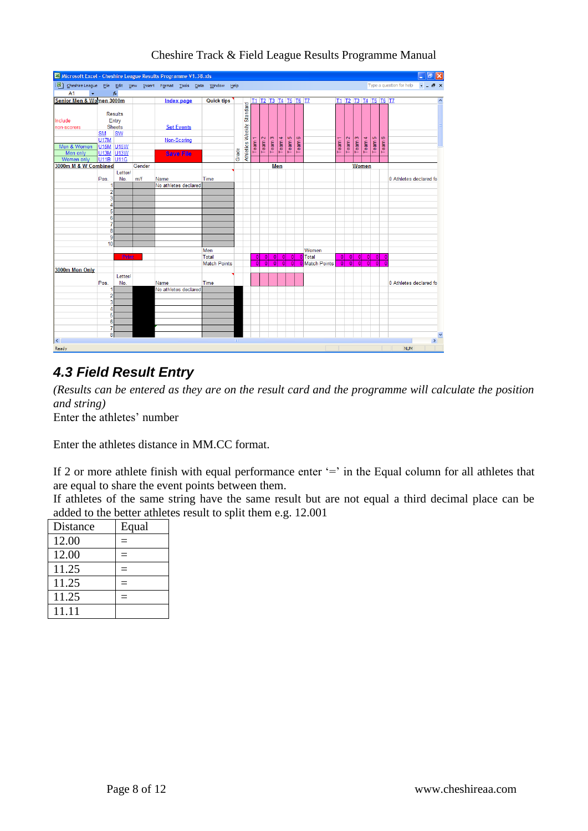| Microsoft Excel - Cheshire League Results Programme V1.38.xls            |                                   |                  |        |                      |                     |       |                         |                |                   |                      |              |                |        |                |                   |                      |          |                |                |              |                          | $\frac{1}{2}$          |                       |
|--------------------------------------------------------------------------|-----------------------------------|------------------|--------|----------------------|---------------------|-------|-------------------------|----------------|-------------------|----------------------|--------------|----------------|--------|----------------|-------------------|----------------------|----------|----------------|----------------|--------------|--------------------------|------------------------|-----------------------|
| [38] Cheshire League File Edit View Insert Format Tools Data Window Help |                                   |                  |        |                      |                     |       |                         |                |                   |                      |              |                |        |                |                   |                      |          |                |                |              | Type a question for help | $   \sqrt{2}$ $\times$ |                       |
| A1<br>$\bullet$ .                                                        |                                   | $f_{\mathbf{x}}$ |        |                      |                     |       |                         |                |                   |                      |              |                |        |                |                   |                      |          |                |                |              |                          |                        |                       |
| Senior Men & Women 3000m                                                 |                                   |                  |        | <b>Index page</b>    | <b>Quick tips</b>   |       |                         |                |                   | T1 T2 T3 T4 T5 T6 T7 |              |                |        |                |                   | T1 T2 T3 T4 T5 T6 T7 |          |                |                |              |                          |                        | $\hat{\phantom{a}}$   |
|                                                                          |                                   |                  |        |                      |                     |       | Standard                |                |                   |                      |              |                |        |                |                   |                      |          |                |                |              |                          |                        |                       |
|                                                                          |                                   | <b>Results</b>   |        |                      |                     |       |                         |                |                   |                      |              |                |        |                |                   |                      |          |                |                |              |                          |                        |                       |
| Include                                                                  |                                   | Entry            |        |                      |                     |       |                         |                |                   |                      |              |                |        |                |                   |                      |          |                |                |              |                          |                        |                       |
| non-scorers                                                              |                                   | <b>Sheets</b>    |        | <b>Set Events</b>    |                     |       |                         |                |                   |                      |              |                |        |                |                   |                      |          |                |                |              |                          |                        |                       |
|                                                                          | <b>SM</b>                         | <b>SW</b>        |        |                      |                     |       | <b>Athletics Weekly</b> |                |                   |                      |              |                |        |                |                   |                      |          |                |                |              |                          |                        |                       |
|                                                                          | <b>U17M</b>                       |                  |        | Non-Scoring          |                     |       |                         | Team           | Team <sub>2</sub> | Team 3               | Team 4       | Team 5         | Team 6 |                | Team <sub>1</sub> | Team <sub>2</sub>    | Team 3   | Team 4         | Team 5         | Team 6       |                          |                        |                       |
| Men & Women<br>Men only                                                  | U <sub>15M</sub> U <sub>15W</sub> |                  |        |                      |                     |       |                         |                |                   |                      |              |                |        |                |                   |                      |          |                |                |              |                          |                        |                       |
| Women only                                                               | U <sub>11B</sub> U <sub>11G</sub> | <b>U13M U13W</b> |        | <b>Save File</b>     |                     | Grade |                         |                |                   |                      |              |                |        |                |                   |                      |          |                |                |              |                          |                        |                       |
| 3000m M & W Combined                                                     |                                   |                  | Gender |                      |                     |       |                         |                |                   |                      | Men          |                |        |                |                   |                      |          | Women          |                |              |                          |                        |                       |
|                                                                          |                                   | Letter/          |        |                      |                     |       |                         |                |                   |                      |              |                |        |                |                   |                      |          |                |                |              |                          |                        |                       |
|                                                                          | Pos.                              | No.              | m/f    | Name                 | Time                |       |                         |                |                   |                      |              |                |        |                |                   |                      |          |                |                |              | 0 Athletes declared fo   |                        |                       |
|                                                                          | 1                                 |                  |        | No athletes declared |                     |       |                         |                |                   |                      |              |                |        |                |                   |                      |          |                |                |              |                          |                        |                       |
|                                                                          | $\overline{2}$                    |                  |        |                      |                     |       |                         |                |                   |                      |              |                |        |                |                   |                      |          |                |                |              |                          |                        |                       |
|                                                                          | 3                                 |                  |        |                      |                     |       |                         |                |                   |                      |              |                |        |                |                   |                      |          |                |                |              |                          |                        |                       |
|                                                                          | Δ                                 |                  |        |                      |                     |       |                         |                |                   |                      |              |                |        |                |                   |                      |          |                |                |              |                          |                        |                       |
|                                                                          | 5                                 |                  |        |                      |                     |       |                         |                |                   |                      |              |                |        |                |                   |                      |          |                |                |              |                          |                        |                       |
|                                                                          | 6                                 |                  |        |                      |                     |       |                         |                |                   |                      |              |                |        |                |                   |                      |          |                |                |              |                          |                        |                       |
|                                                                          | 7                                 |                  |        |                      |                     |       |                         |                |                   |                      |              |                |        |                |                   |                      |          |                |                |              |                          |                        |                       |
|                                                                          | 8                                 |                  |        |                      |                     |       |                         |                |                   |                      |              |                |        |                |                   |                      |          |                |                |              |                          |                        |                       |
|                                                                          | 9<br>10                           |                  |        |                      |                     |       |                         |                |                   |                      |              |                |        |                |                   |                      |          |                |                |              |                          |                        |                       |
|                                                                          |                                   |                  |        |                      | Men                 |       |                         |                |                   |                      |              |                |        | Women          |                   |                      |          |                |                |              |                          |                        |                       |
|                                                                          |                                   | Print            |        |                      | Total               |       |                         | $\overline{0}$ | $\Omega$          | $\overline{0}$       | $\mathbf{0}$ | $\bf{0}$       |        | 0 Total        | $\overline{0}$    | 0                    | 0        | $\mathbf{0}$   | $\overline{0}$ | $\mathbf{0}$ |                          |                        |                       |
|                                                                          |                                   |                  |        |                      | <b>Match Points</b> |       |                         | $\overline{0}$ | $\overline{0}$    | $\overline{0}$       |              | $\overline{0}$ |        | 0 Match Points | $\overline{0}$    | $\overline{0}$       | $\Omega$ | $\overline{0}$ | $\Omega$       |              |                          |                        |                       |
| 3000m Men Only                                                           |                                   |                  |        |                      |                     |       |                         |                |                   |                      |              |                |        |                |                   |                      |          |                |                |              |                          |                        |                       |
|                                                                          |                                   | Letter/          |        |                      |                     |       |                         |                |                   |                      |              |                |        |                |                   |                      |          |                |                |              |                          |                        |                       |
|                                                                          | Pos.                              | No.              |        | Name                 | Time                |       |                         |                |                   |                      |              |                |        |                |                   |                      |          |                |                |              | 0 Athletes declared fo   |                        |                       |
|                                                                          |                                   |                  |        | No athletes declared |                     |       |                         |                |                   |                      |              |                |        |                |                   |                      |          |                |                |              |                          |                        |                       |
|                                                                          | $\overline{2}$                    |                  |        |                      |                     |       |                         |                |                   |                      |              |                |        |                |                   |                      |          |                |                |              |                          |                        |                       |
|                                                                          | 3                                 |                  |        |                      |                     |       |                         |                |                   |                      |              |                |        |                |                   |                      |          |                |                |              |                          |                        |                       |
|                                                                          | 4                                 |                  |        |                      |                     |       |                         |                |                   |                      |              |                |        |                |                   |                      |          |                |                |              |                          |                        |                       |
|                                                                          | 5<br>6                            |                  |        |                      |                     |       |                         |                |                   |                      |              |                |        |                |                   |                      |          |                |                |              |                          |                        |                       |
|                                                                          | $\overline{7}$                    |                  |        |                      |                     |       |                         |                |                   |                      |              |                |        |                |                   |                      |          |                |                |              |                          |                        |                       |
|                                                                          | 8                                 |                  |        |                      |                     |       |                         |                |                   |                      |              |                |        |                |                   |                      |          |                |                |              |                          |                        |                       |
| $\overline{\mathbf{R}}$                                                  |                                   |                  |        |                      |                     |       |                         |                |                   |                      |              |                |        |                |                   |                      |          |                |                |              |                          |                        | $\blacktriangleright$ |
| Ready                                                                    |                                   |                  |        |                      |                     |       |                         |                |                   |                      |              |                |        |                |                   |                      |          |                |                |              | <b>NUM</b>               |                        |                       |

# <span id="page-7-0"></span>*4.3 Field Result Entry*

*(Results can be entered as they are on the result card and the programme will calculate the position and string)*

Enter the athletes' number

Enter the athletes distance in MM.CC format.

If 2 or more athlete finish with equal performance enter '=' in the Equal column for all athletes that are equal to share the event points between them.

If athletes of the same string have the same result but are not equal a third decimal place can be added to the better athletes result to split them e.g. 12.001

| Distance | Equal |
|----------|-------|
| 12.00    |       |
| 12.00    |       |
| 11.25    |       |
| 11.25    |       |
| 11.25    |       |
| 11.11    |       |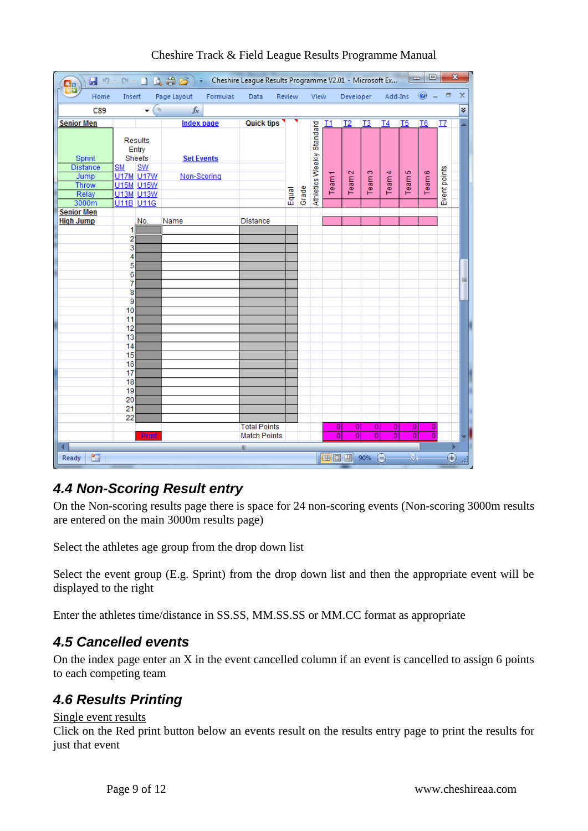| Ы                         | $127 - 124 -$                        |                            | 1446        | ₹ Cheshire League Results Programme V2.01 - Microsoft Ex |                     |        |       |                           |                   |                           |                         |                | $\overline{\phantom{a}}$  | $\qquad \qquad \Box$ |                          | $\mathbf{x}$ |
|---------------------------|--------------------------------------|----------------------------|-------------|----------------------------------------------------------|---------------------|--------|-------|---------------------------|-------------------|---------------------------|-------------------------|----------------|---------------------------|----------------------|--------------------------|--------------|
| Home                      | Insert                               |                            | Page Layout | Formulas                                                 | Data                | Review |       | View                      |                   | Developer                 |                         | Add-Ins        |                           | 0                    | $\Box$                   | x            |
| C89                       |                                      | 6<br>۰                     | $f_x$       |                                                          |                     |        |       |                           |                   |                           |                         |                |                           |                      |                          | ¥            |
| <b>Senior Men</b>         |                                      |                            |             | <b>Index page</b>                                        | <b>Quick tips</b>   |        |       |                           | T1                | T <sub>2</sub>            | T3                      | T <sub>4</sub> | T <sub>5</sub>            | T <sub>6</sub>       | T7                       |              |
| Sprint<br><b>Distance</b> | <b>Results</b><br>Entry<br><b>SM</b> | <b>Sheets</b><br><b>SW</b> |             | <b>Set Events</b>                                        |                     |        |       | Athletics Weekly Standard |                   |                           |                         |                | ю                         |                      |                          |              |
| Jump<br>Throw             | <b>U17M U17W</b><br><b>U15M U15W</b> |                            |             | Non-Scoring                                              |                     |        |       |                           | Team <sub>1</sub> | Team <sub>2</sub>         | Team <sub>3</sub>       | Team 4         | Team:                     | Team 6               | Event points             |              |
| Relay                     | <b>U13M U13W</b>                     |                            |             |                                                          |                     | Equal  | Grade |                           |                   |                           |                         |                |                           |                      |                          |              |
| 3000m                     | U11B U11G                            |                            |             |                                                          |                     |        |       |                           |                   |                           |                         |                |                           |                      |                          |              |
| <b>Senior Men</b>         |                                      |                            |             |                                                          |                     |        |       |                           |                   |                           |                         |                |                           |                      |                          |              |
| <b>High Jump</b>          |                                      | No.                        | Name        |                                                          | Distance            |        |       |                           |                   |                           |                         |                |                           |                      |                          |              |
|                           | 1                                    |                            |             |                                                          |                     |        |       |                           |                   |                           |                         |                |                           |                      |                          |              |
|                           | $\overline{c}$<br>3                  |                            |             |                                                          |                     |        |       |                           |                   |                           |                         |                |                           |                      |                          |              |
|                           | 4                                    |                            |             |                                                          |                     |        |       |                           |                   |                           |                         |                |                           |                      |                          |              |
|                           | 5                                    |                            |             |                                                          |                     |        |       |                           |                   |                           |                         |                |                           |                      |                          |              |
|                           | 6                                    |                            |             |                                                          |                     |        |       |                           |                   |                           |                         |                |                           |                      |                          |              |
|                           | 7                                    |                            |             |                                                          |                     |        |       |                           |                   |                           |                         |                |                           |                      |                          | 亖            |
|                           | 8                                    |                            |             |                                                          |                     |        |       |                           |                   |                           |                         |                |                           |                      |                          |              |
|                           | 9                                    |                            |             |                                                          |                     |        |       |                           |                   |                           |                         |                |                           |                      |                          |              |
|                           | 10<br>11                             |                            |             |                                                          |                     |        |       |                           |                   |                           |                         |                |                           |                      |                          |              |
|                           | 12                                   |                            |             |                                                          |                     |        |       |                           |                   |                           |                         |                |                           |                      |                          |              |
|                           | 13                                   |                            |             |                                                          |                     |        |       |                           |                   |                           |                         |                |                           |                      |                          |              |
|                           | 14                                   |                            |             |                                                          |                     |        |       |                           |                   |                           |                         |                |                           |                      |                          |              |
|                           | 15                                   |                            |             |                                                          |                     |        |       |                           |                   |                           |                         |                |                           |                      |                          |              |
|                           | 16                                   |                            |             |                                                          |                     |        |       |                           |                   |                           |                         |                |                           |                      |                          |              |
|                           | 17                                   |                            |             |                                                          |                     |        |       |                           |                   |                           |                         |                |                           |                      |                          |              |
|                           | 18                                   |                            |             |                                                          |                     |        |       |                           |                   |                           |                         |                |                           |                      |                          |              |
|                           | 19                                   |                            |             |                                                          |                     |        |       |                           |                   |                           |                         |                |                           |                      |                          |              |
|                           | 20<br>21                             |                            |             |                                                          |                     |        |       |                           |                   |                           |                         |                |                           |                      |                          |              |
|                           | 22                                   |                            |             |                                                          |                     |        |       |                           |                   |                           |                         |                |                           |                      |                          |              |
|                           |                                      |                            |             |                                                          | <b>Total Points</b> |        |       |                           | $\overline{0}$    | $\overline{0}$            | $\overline{0}$          | 0              | $\overline{0}$            | $\bf{0}$             |                          |              |
|                           |                                      | <b>Print</b>               |             |                                                          | <b>Match Points</b> |        |       |                           | $\overline{0}$    | $\overline{\mathfrak{o}}$ | $\overline{\mathbf{0}}$ | $\overline{0}$ | $\overline{\mathfrak{o}}$ | $\overline{0}$       |                          |              |
|                           |                                      |                            |             |                                                          | Ш                   |        |       |                           |                   |                           |                         |                |                           |                      |                          |              |
| 臨<br>Ready                |                                      |                            |             |                                                          |                     |        |       |                           |                   | Ⅲ Ⅲ 90% ●                 |                         |                | Ū.                        |                      | $\overline{\bm{\theta}}$ | al,          |

### <span id="page-8-0"></span>*4.4 Non-Scoring Result entry*

On the Non-scoring results page there is space for 24 non-scoring events (Non-scoring 3000m results are entered on the main 3000m results page)

Select the athletes age group from the drop down list

Select the event group (E.g. Sprint) from the drop down list and then the appropriate event will be displayed to the right

Enter the athletes time/distance in SS.SS, MM.SS.SS or MM.CC format as appropriate

### <span id="page-8-1"></span>*4.5 Cancelled events*

On the index page enter an X in the event cancelled column if an event is cancelled to assign 6 points to each competing team

### <span id="page-8-2"></span>*4.6 Results Printing*

#### Single event results

Click on the Red print button below an events result on the results entry page to print the results for just that event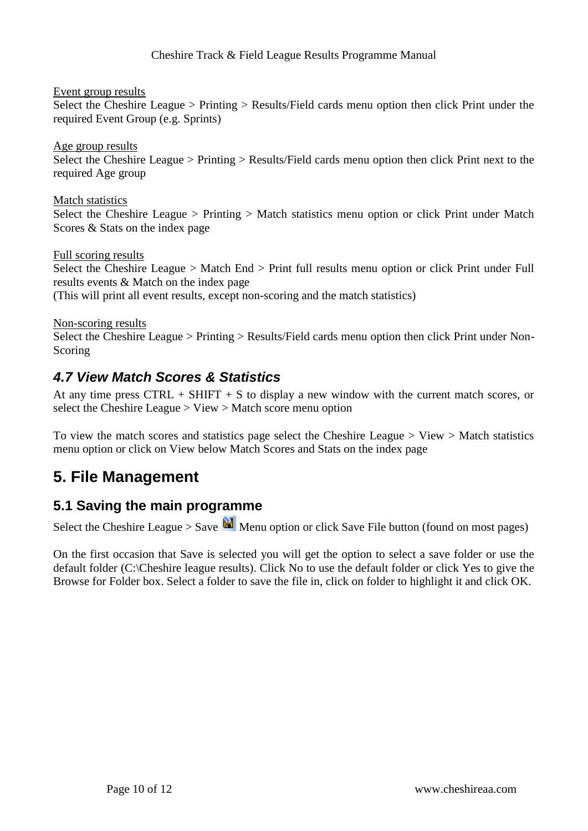Event group results

Select the Cheshire League > Printing > Results/Field cards menu option then click Print under the required Event Group (e.g. Sprints)

Age group results Select the Cheshire League > Printing > Results/Field cards menu option then click Print next to the required Age group

Match statistics

Select the Cheshire League > Printing > Match statistics menu option or click Print under Match Scores & Stats on the index page

Full scoring results

Select the Cheshire League > Match End > Print full results menu option or click Print under Full results events & Match on the index page (This will print all event results, except non-scoring and the match statistics)

Non-scoring results

Select the Cheshire League > Printing > Results/Field cards menu option then click Print under Non-Scoring

### <span id="page-9-0"></span>*4.7 View Match Scores & Statistics*

At any time press CTRL + SHIFT + S to display a new window with the current match scores, or select the Cheshire League > View > Match score menu option

To view the match scores and statistics page select the Cheshire League > View > Match statistics menu option or click on View below Match Scores and Stats on the index page

# <span id="page-9-1"></span>**5. File Management**

### <span id="page-9-2"></span>**5.1 Saving the main programme**

Select the Cheshire League > Save  $\mathbb{H}$  Menu option or click Save File button (found on most pages)

On the first occasion that Save is selected you will get the option to select a save folder or use the default folder (C:\Cheshire league results). Click No to use the default folder or click Yes to give the Browse for Folder box. Select a folder to save the file in, click on folder to highlight it and click OK.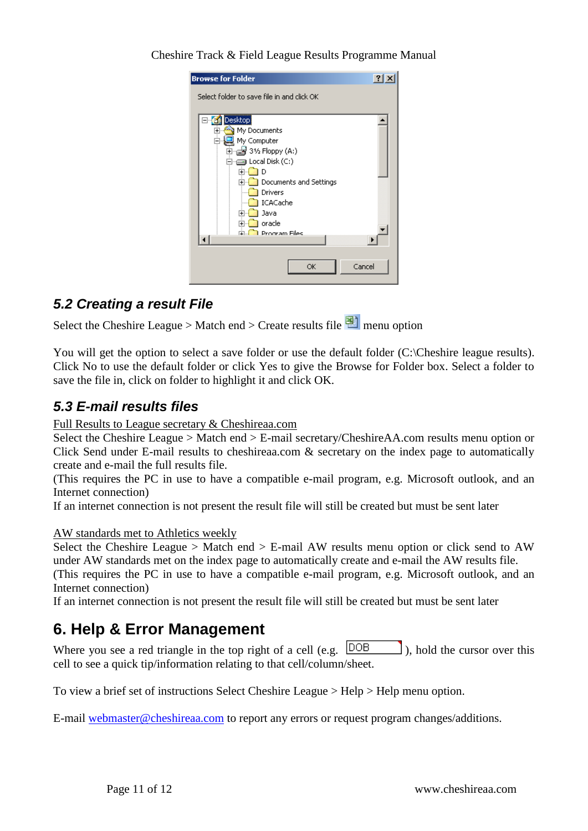**Browse for Folder**  $|2|X|$ Select folder to save file in and click OK **E**<sup>-</sup>**G** Desktop  $\blacktriangle$  $\overrightarrow{p}$  My Documents  $\overline{\oplus}$   $\overline{\oplus}$  31/2 Floppy (A:)  $\dot{\boxdot}$   $\implies$  Local Disk (C:) 中。<br>中。Documents and Settings **Drivers De** ICACache i<br>Ilm<mark>aa</mark> Java ட்<mark>ட்</mark> oracle <mark>मे⊶</mark> Program Files  $\left| \cdot \right|$  $\blacktriangleright$ Cancel OK

Cheshire Track & Field League Results Programme Manual

## <span id="page-10-0"></span>*5.2 Creating a result File*

Select the Cheshire League > Match end > Create results file  $\Box$  menu option

You will get the option to select a save folder or use the default folder (C:\Cheshire league results). Click No to use the default folder or click Yes to give the Browse for Folder box. Select a folder to save the file in, click on folder to highlight it and click OK.

## <span id="page-10-1"></span>*5.3 E-mail results files*

Full Results to League secretary & Cheshireaa.com

Select the Cheshire League > Match end > E-mail secretary/CheshireAA.com results menu option or Click Send under E-mail results to cheshireaa.com & secretary on the index page to automatically create and e-mail the full results file.

(This requires the PC in use to have a compatible e-mail program, e.g. Microsoft outlook, and an Internet connection)

If an internet connection is not present the result file will still be created but must be sent later

#### AW standards met to Athletics weekly

Select the Cheshire League > Match end > E-mail AW results menu option or click send to AW under AW standards met on the index page to automatically create and e-mail the AW results file. (This requires the PC in use to have a compatible e-mail program, e.g. Microsoft outlook, and an Internet connection)

If an internet connection is not present the result file will still be created but must be sent later

# <span id="page-10-2"></span>**6. Help & Error Management**

Where you see a red triangle in the top right of a cell (e.g.  $\sqrt{DOB}$ ), hold the cursor over this cell to see a quick tip/information relating to that cell/column/sheet.

To view a brief set of instructions Select Cheshire League > Help > Help menu option.

E-mail [webmaster@cheshireaa.com](mailto:webmaster@cheshireaa.com) to report any errors or request program changes/additions.